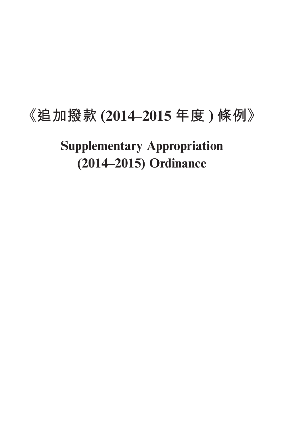# **《追加撥款 (2014–2015 年度 ) 條例》**

**Supplementary Appropriation (2014–2015) Ordinance**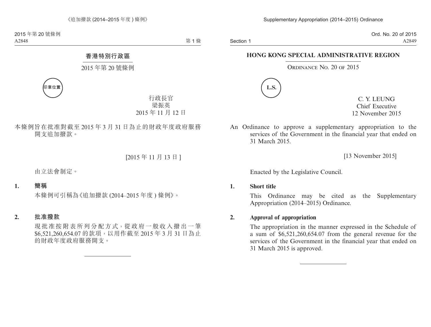Section 1

Ord. No. 20 of 2015 A2849

### **HONG KONG SPECIAL ADMINISTRATIVE REGION**

ORDINANCE NO. 20 OF 2015



C. Y. LEUNG Chief Executive 12 November 2015

An Ordinance to approve a supplementary appropriation to the services of the Government in the financial year that ended on 31 March 2015.

[13 November 2015]

Enacted by the Legislative Council.

**1. Short title**

This Ordinance may be cited as the Supplementary Appropriation (2014–2015) Ordinance.

### **2. Approval of appropriation**

The appropriation in the manner expressed in the Schedule of a sum of \$6,521,260,654.07 from the general revenue for the services of the Government in the financial year that ended on 31 March 2015 is approved.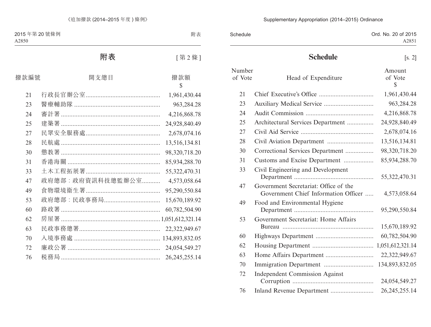### Supplementary Appropriation (2014–2015) Ordinance

| Schedule | Ord. No. 20 of 2015 |
|----------|---------------------|
|          | A2851               |

## **Schedule** [s. 2]

| Number<br>of Vote | Head of Expenditure                                                           | Amount<br>of Vote<br>\$ |
|-------------------|-------------------------------------------------------------------------------|-------------------------|
| 21                |                                                                               | 1,961,430.44            |
| 23                |                                                                               | 963,284.28              |
| 24                |                                                                               | 4,216,868.78            |
| 25                | Architectural Services Department                                             | 24,928,840.49           |
| 27                |                                                                               | 2,678,074.16            |
| 28                |                                                                               | 13,516,134.81           |
| 30                | Correctional Services Department                                              | 98,320,718.20           |
| 31                | Customs and Excise Department                                                 | 85,934,288.70           |
| 33                | Civil Engineering and Development                                             | 55,322,470.31           |
| 47                | Government Secretariat: Office of the<br>Government Chief Information Officer | 4,573,058.64            |
| 49                | Food and Environmental Hygiene                                                | 95,290,550.84           |
| 53                | Government Secretariat: Home Affairs                                          | 15,670,189.92           |
| 60                |                                                                               | 60,782,504.90           |
| 62                |                                                                               | 1,051,612,321.14        |
| 63                |                                                                               | 22,322,949.67           |
| 70                |                                                                               | 134,893,832.05          |
| 72                | <b>Independent Commission Against</b>                                         | 24,054,549.27           |
| 76                |                                                                               | 26, 245, 255. 14        |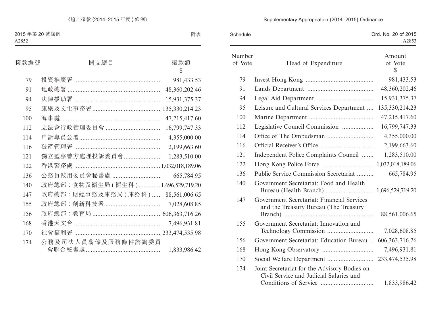### Ord. No. 20 of 2015 A2853 Schedule Number of Vote Head of Expenditure Amount of Vote  $\mathcal{S}$ 79 Invest Hong Kong ......................................... 981,433.53 91 Lands Department ........................................ 48,360,202.46 94 Legal Aid Department .................................. 15,931,375.37 95 Leisure and Cultural Services Department .... 135,330,214.23 100 Marine Department ....................................... 47,215,417.60 112 Legislative Council Commission ................... 16,799,747.33 114 Office of The Ombudsman ............................ 4,355,000.00 116 Official Receiver's Office ................................ 2,199,663.60 121 Independent Police Complaints Council ....... 1,283,510.00 122 Hong Kong Police Force ............................... 1,032,018,189.06 136 Public Service Commission Secretariat .......... 665,784.95 140 Government Secretariat: Food and Health Bureau (Health Branch) ............................. 1,696,529,719.20 147 Government Secretariat: Financial Services and the Treasury Bureau (The Treasury Branch) ...................................................... 88,561,006.65 155 Government Secretariat: Innovation and Technology Commission ............................ 7,028,608.85 156 Government Secretariat: Education Bureau .. 606,363,716.26 168 Hong Kong Observatory ............................... 7,496,931.81 170 Social Welfare Department ............................ 233,474,535.98 174 Joint Secretariat for the Advisory Bodies on Civil Service and Judicial Salaries and Conditions of Service ................................ 1,833,986.42

#### Supplementary Appropriation (2014–2015) Ordinance